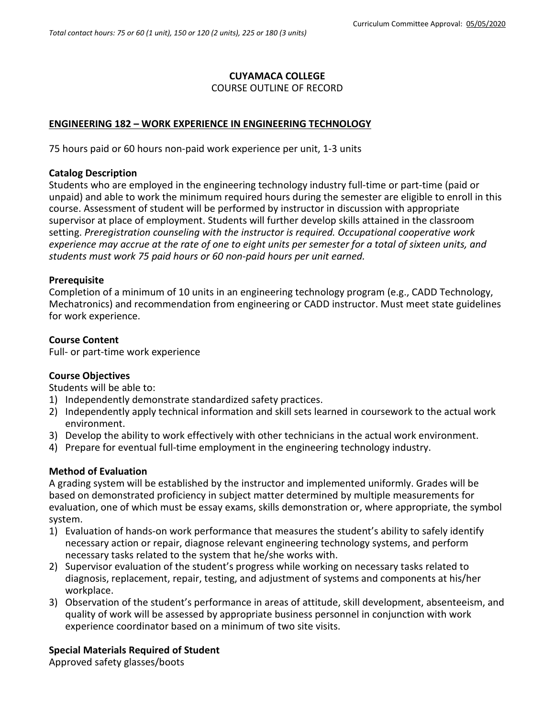# **CUYAMACA COLLEGE**

### COURSE OUTLINE OF RECORD

# **ENGINEERING 182 – WORK EXPERIENCE IN ENGINEERING TECHNOLOGY**

75 hours paid or 60 hours non-paid work experience per unit, 1-3 units

#### **Catalog Description**

Students who are employed in the engineering technology industry full-time or part-time (paid or unpaid) and able to work the minimum required hours during the semester are eligible to enroll in this course. Assessment of student will be performed by instructor in discussion with appropriate supervisor at place of employment. Students will further develop skills attained in the classroom setting. *Preregistration counseling with the instructor is required. Occupational cooperative work experience may accrue at the rate of one to eight units per semester for a total of sixteen units, and students must work 75 paid hours or 60 non-paid hours per unit earned.*

### **Prerequisite**

Completion of a minimum of 10 units in an engineering technology program (e.g., CADD Technology, Mechatronics) and recommendation from engineering or CADD instructor. Must meet state guidelines for work experience.

### **Course Content**

Full- or part-time work experience

### **Course Objectives**

Students will be able to:

- 1) Independently demonstrate standardized safety practices.
- 2) Independently apply technical information and skill sets learned in coursework to the actual work environment.
- 3) Develop the ability to work effectively with other technicians in the actual work environment.
- 4) Prepare for eventual full-time employment in the engineering technology industry.

### **Method of Evaluation**

A grading system will be established by the instructor and implemented uniformly. Grades will be based on demonstrated proficiency in subject matter determined by multiple measurements for evaluation, one of which must be essay exams, skills demonstration or, where appropriate, the symbol system.

- 1) Evaluation of hands-on work performance that measures the student's ability to safely identify necessary action or repair, diagnose relevant engineering technology systems, and perform necessary tasks related to the system that he/she works with.
- 2) Supervisor evaluation of the student's progress while working on necessary tasks related to diagnosis, replacement, repair, testing, and adjustment of systems and components at his/her workplace.
- 3) Observation of the student's performance in areas of attitude, skill development, absenteeism, and quality of work will be assessed by appropriate business personnel in conjunction with work experience coordinator based on a minimum of two site visits.

### **Special Materials Required of Student**

Approved safety glasses/boots